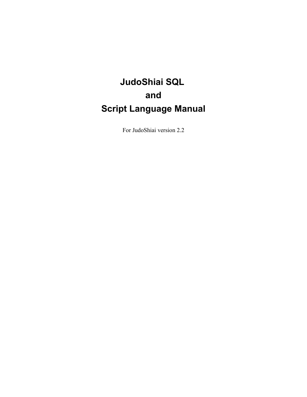# **JudoShiai SQL and Script Language Manual**

For JudoShiai version 2.2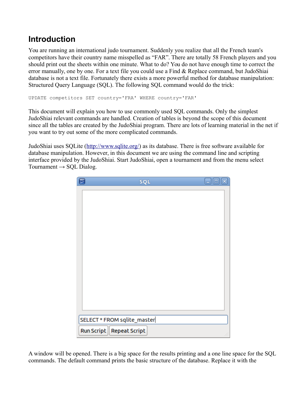## **Introduction**

You are running an international judo tournament. Suddenly you realize that all the French team's competitors have their country name misspelled as "FAR". There are totally 58 French players and you should print out the sheets within one minute. What to do? You do not have enough time to correct the error manually, one by one. For a text file you could use a Find & Replace command, but JudoShiai database is not a text file. Fortunately there exists a more powerful method for database manipulation: Structured Query Language (SQL). The following SQL command would do the trick:

```
UPDATE competitors SET country='FRA' WHERE country='FAR'
```
This document will explain you how to use commonly used SQL commands. Only the simplest JudoShiai relevant commands are handled. Creation of tables is beyond the scope of this document since all the tables are created by the JudoShiai program. There are lots of learning material in the net if you want to try out some of the more complicated commands.

JudoShiai uses SQLite [\(http://www.sqlite.org/\)](http://www.sqlite.org/) as its database. There is free software available for database manipulation. However, in this document we are using the command line and scripting interface provided by the JudoShiai. Start JudoShiai, open a tournament and from the menu select Tournament  $\rightarrow$  SQL Dialog.

| 區                 | <b>SQL</b>                  | $\Box$ ok |
|-------------------|-----------------------------|-----------|
|                   |                             |           |
|                   |                             |           |
|                   |                             |           |
|                   |                             |           |
|                   |                             |           |
|                   |                             |           |
|                   |                             |           |
|                   |                             |           |
|                   |                             |           |
|                   |                             |           |
|                   |                             |           |
|                   |                             |           |
|                   |                             |           |
|                   |                             |           |
|                   | SELECT * FROM sqlite_master |           |
| <b>Run Script</b> | <b>Repeat Script</b>        |           |

A window will be opened. There is a big space for the results printing and a one line space for the SQL commands. The default command prints the basic structure of the database. Replace it with the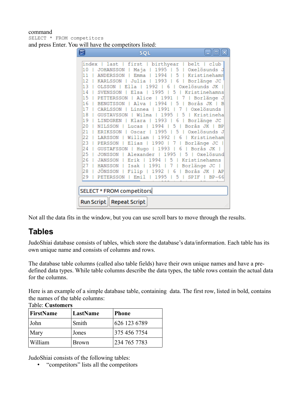#### command SELECT \* FROM competitors and press Enter. You will have the competitors listed:

| o<br><b>SQL</b>                                                                                                 |
|-----------------------------------------------------------------------------------------------------------------|
|                                                                                                                 |
| index   last   first   birthyear   belt   club<br>Maja   1995   5   Oxelösunds J<br>10<br><b>JOHANSSON</b><br>ı |
| Emma   1994   5   Kristinehamn<br>11<br><b>ANDERSSON</b>                                                        |
| 12<br>  Julia   1993  <br>6   Borlänge JC<br><b>KARLSSON</b>                                                    |
| 13 1<br>OLSSON   Ella   1992  <br>- 6<br>Oxelösunds JK<br>- 1                                                   |
| 14<br>  Elsa   1995<br>  5   Kristinehamns                                                                      |
| <b>I SVENSSON</b><br>15                                                                                         |
| Alice   1991<br>  Borlänge J<br><b>I PETTERSSON</b><br>7<br>16<br>- 11 -<br><b>BENGTSSON</b><br>5               |
| Alva   1994<br>  Borås JK   B                                                                                   |
| 17<br>  Linnea   1991  <br>7   Oxelösunds<br>CARLSSON                                                           |
| 18<br>Wilma<br>$\mathbf{L}$<br>1995<br>5<br>Kristineha<br><b>GUSTAVSSON</b><br>- 1<br>$\mathbf{I}$              |
| 19<br>  Klara   1993   6<br>  Borlänge JC<br><b>I LINDGREN</b>                                                  |
| 20<br>NILSSON   Lucas   1994  <br>Borås JK   BP<br>5 <sub>1</sub>                                               |
| 5<br>21<br>1995<br>Oxelösunds J<br><b>ERIKSSON</b><br>Oscar<br>- 1                                              |
| 22<br>  LARSSON   William   1992<br>$\overline{6}$<br>  Kristineham                                             |
| 23<br>Elias   1990  <br><b>7</b> 1<br>Borlänge JC  <br>PERSSON                                                  |
| 24<br>  Hugo   1993<br>Borås JK  <br>  GUSTAFSSON<br>6<br>-1<br>-1                                              |
| 25<br>  JONSSON   Alexander   1995<br>l 5 l Oxelösund                                                           |
| 26<br>Erik  <br>1994<br>$-5$<br>Kristinehamns<br><b>JANSSON  </b><br>ı                                          |
| 27<br>  HANSSON   Isak   1991   7  <br>Borlänge JC                                                              |
| JÖNSSON   Filip   1992   6   Borås JK   AP<br>28                                                                |
| $\mathbf{L}$<br>Emi 1 1<br>1995<br>- 5<br>29<br><b>PETERSSON</b><br>SPIF<br>- 1<br>$1$ BP-66                    |
|                                                                                                                 |
| SELECT * FROM competitors                                                                                       |
| <b>Run Script</b><br><b>Repeat Script</b>                                                                       |

Not all the data fits in the window, but you can use scroll bars to move through the results.

### **Tables**

JudoShiai database consists of tables, which store the database's data/information. Each table has its own unique name and consists of columns and rows.

The database table columns (called also table fields) have their own unique names and have a predefined data types. While table columns describe the data types, the table rows contain the actual data for the columns.

Here is an example of a simple database table, containing data. The first row, listed in bold, contains the names of the table columns: Table: **Customers**

| <b>FirstName</b><br>LastName |              | <b>Phone</b> |
|------------------------------|--------------|--------------|
| John                         | Smith        | 626 123 6789 |
| Mary                         | Jones        | 375 456 7754 |
| William                      | <b>Brown</b> | 234 765 7783 |

JudoShiai consists of the following tables:

• "competitors" lists all the competitors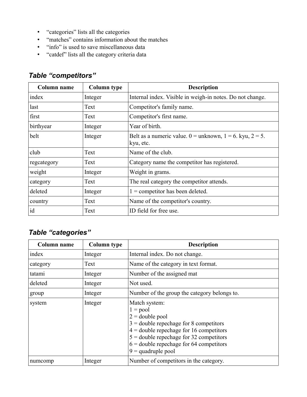- "categories" lists all the categories
- "matches" contains information about the matches
- "info" is used to save miscellaneous data
- "catdef" lists all the category criteria data

### *Table "competitors"*

| Column name | <b>Column type</b> | <b>Description</b>                                                            |
|-------------|--------------------|-------------------------------------------------------------------------------|
| index       | Integer            | Internal index. Visible in weigh-in notes. Do not change.                     |
| last        | Text               | Competitor's family name.                                                     |
| first       | Text               | Competitor's first name.                                                      |
| birthyear   | Integer            | Year of birth.                                                                |
| belt        | Integer            | Belt as a numeric value. $0 =$ unknown, $1 = 6$ . kyu, $2 = 5$ .<br>kyu, etc. |
| club        | Text               | Name of the club.                                                             |
| regeategory | Text               | Category name the competitor has registered.                                  |
| weight      | Integer            | Weight in grams.                                                              |
| category    | Text               | The real category the competitor attends.                                     |
| deleted     | Integer            | $1 =$ competitor has been deleted.                                            |
| country     | Text               | Name of the competitor's country.                                             |
| id          | Text               | ID field for free use.                                                        |

### *Table "categories"*

| Column name | <b>Column type</b> | <b>Description</b>                                                                                                                                                                                                                                          |
|-------------|--------------------|-------------------------------------------------------------------------------------------------------------------------------------------------------------------------------------------------------------------------------------------------------------|
| index       | Integer            | Internal index. Do not change.                                                                                                                                                                                                                              |
| category    | Text               | Name of the category in text format.                                                                                                                                                                                                                        |
| tatami      | Integer            | Number of the assigned mat                                                                                                                                                                                                                                  |
| deleted     | Integer            | Not used.                                                                                                                                                                                                                                                   |
| group       | Integer            | Number of the group the category belongs to.                                                                                                                                                                                                                |
| system      | Integer            | Match system:<br>$1 = pool$<br>$2 =$ double pool<br>$3 =$ double repechage for 8 competitors<br>$4 =$ double repechage for 16 competitors<br>$5 =$ double repechage for 32 competitors<br>$6 =$ double repechage for 64 competitors<br>$9 =$ quadruple pool |
| numcomp     | Integer            | Number of competitors in the category.                                                                                                                                                                                                                      |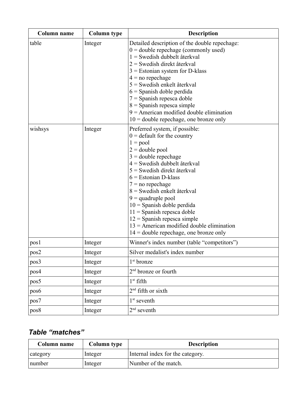| Column name | <b>Column type</b> | <b>Description</b>                                                                                                                                                                                                                                                                                                                                                                                                                                                                                   |
|-------------|--------------------|------------------------------------------------------------------------------------------------------------------------------------------------------------------------------------------------------------------------------------------------------------------------------------------------------------------------------------------------------------------------------------------------------------------------------------------------------------------------------------------------------|
| table       | Integer            | Detailed description of the double repechage:<br>$0 =$ double repechage (commonly used)<br>$1 =$ Swedish dubbelt återkval<br>$2$ = Swedish direkt återkval<br>$3$ = Estonian system for D-klass<br>$4 = no$ repechage<br>$5$ = Swedish enkelt återkval<br>$6$ = Spanish doble perdida<br>$7 =$ Spanish repesca doble<br>$8 =$ Spanish repesca simple<br>$9$ = American modified double elimination<br>$10 =$ double repechage, one bronze only                                                       |
| wishsys     | Integer            | Preferred system, if possible:<br>$0 =$ default for the country<br>$1 = pool$<br>$2 =$ double pool<br>$3 =$ double repechage<br>$4$ = Swedish dubbelt återkval<br>$5$ = Swedish direkt återkval<br>$6$ = Estonian D-klass<br>$7 = no$ repechage<br>$8$ = Swedish enkelt återkval<br>$9 =$ quadruple pool<br>$10 =$ Spanish doble perdida<br>$11 =$ Spanish repesca doble<br>$12$ = Spanish repesca simple<br>$13$ = American modified double elimination<br>$14$ = double repechage, one bronze only |
| pos1        | Integer            | Winner's index number (table "competitors")                                                                                                                                                                                                                                                                                                                                                                                                                                                          |
| pos2        | Integer            | Silver medalist's index number                                                                                                                                                                                                                                                                                                                                                                                                                                                                       |
| pos3        | Integer            | 1 <sup>st</sup> bronze                                                                                                                                                                                                                                                                                                                                                                                                                                                                               |
| pos4        | Integer            | $2nd$ bronze or fourth                                                                                                                                                                                                                                                                                                                                                                                                                                                                               |
| pos5        | Integer            | $1^{\rm st}$ fifth                                                                                                                                                                                                                                                                                                                                                                                                                                                                                   |
| pos6        | Integer            | 2 <sup>nd</sup> fifth or sixth                                                                                                                                                                                                                                                                                                                                                                                                                                                                       |
| pos7        | Integer            | 1 <sup>st</sup> seventh                                                                                                                                                                                                                                                                                                                                                                                                                                                                              |
| pos8        | Integer            | $2nd$ seventh                                                                                                                                                                                                                                                                                                                                                                                                                                                                                        |

## *Table "matches"*

| Column name | Column type | <b>Description</b>               |
|-------------|-------------|----------------------------------|
| category    | Integer     | Internal index for the category. |
| number      | Integer     | Number of the match.             |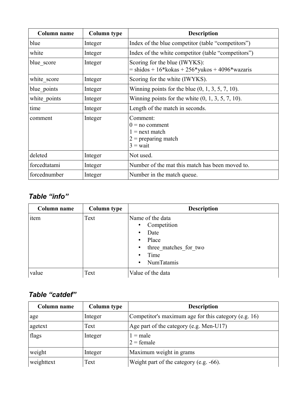| <b>Column name</b> | <b>Column type</b> | <b>Description</b>                                                                      |
|--------------------|--------------------|-----------------------------------------------------------------------------------------|
| blue               | Integer            | Index of the blue competitor (table "competitors")                                      |
| white              | Integer            | Index of the white competitor (table "competitors")                                     |
| blue score         | Integer            | Scoring for the blue (IWYKS):<br>$=$ shidos + 16*kokas + 256*yukos + 4096*wazaris       |
| white score        | Integer            | Scoring for the white (IWYKS).                                                          |
| blue points        | Integer            | Winning points for the blue $(0, 1, 3, 5, 7, 10)$ .                                     |
| white points       | Integer            | Winning points for the white $(0, 1, 3, 5, 7, 10)$ .                                    |
| time               | Integer            | Length of the match in seconds.                                                         |
| comment            | Integer            | Comment:<br>$0 = no$ comment<br>$1 =$ next match<br>$2$ = preparing match<br>$3 = wait$ |
| deleted            | Integer            | Not used.                                                                               |
| forcedtatami       | Integer            | Number of the mat this match has been moved to.                                         |
| forcednumber       | Integer            | Number in the match queue.                                                              |

### *Table "info"*

| Column name | <b>Column type</b> | <b>Description</b>                                                                                                                |
|-------------|--------------------|-----------------------------------------------------------------------------------------------------------------------------------|
| item        | Text               | Name of the data<br>• Competition<br>Date<br>$\bullet$<br>• Place<br>• three matches for two<br>Time<br>$\bullet$<br>• NumTatamis |
| value       | Text               | Value of the data                                                                                                                 |

### *Table "catdef"*

| Column name | <b>Column type</b> | <b>Description</b>                                   |
|-------------|--------------------|------------------------------------------------------|
| age         | Integer            | Competitor's maximum age for this category (e.g. 16) |
| agetext     | Text               | Age part of the category (e.g. Men-U17)              |
| flags       | Integer            | $l = male$<br>$2 = female$                           |
| weight      | Integer            | Maximum weight in grams                              |
| weighttext  | Text               | Weight part of the category (e.g. $-66$ ).           |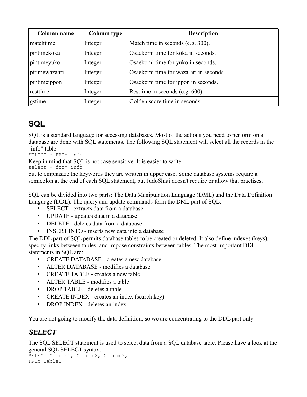| Column name   | <b>Column type</b> | <b>Description</b>                     |
|---------------|--------------------|----------------------------------------|
| matchtime     | Integer            | Match time in seconds (e.g. 300).      |
| pintimekoka   | Integer            | Osaekomi time for koka in seconds.     |
| pintimeyuko   | Integer            | Osaekomi time for yuko in seconds.     |
| pitimewazaari | Integer            | Osaekomi time for waza-ari in seconds. |
| pintimeippon  | Integer            | Osaekomi time for ippon in seconds.    |
| resttime      | Integer            | Resttime in seconds (e.g. 600).        |
| gstime        | Integer            | Golden score time in seconds.          |

## **SQL**

SQL is a standard language for accessing databases. Most of the actions you need to perform on a database are done with SQL statements. The following SQL statement will select all the records in the "info" table:

SELECT \* FROM info

Keep in mind that SQL is not case sensitive. It is easier to write

select \* from info

but to emphasize the keywords they are written in upper case. Some database systems require a semicolon at the end of each SQL statement, but JudoShiai doesn't require or allow that practises.

SQL can be divided into two parts: The Data Manipulation Language (DML) and the Data Definition Language (DDL). The query and update commands form the DML part of SQL:

- SELECT extracts data from a database
- UPDATE updates data in a database
- DELETE deletes data from a database
- INSERT INTO inserts new data into a database

The DDL part of SQL permits database tables to be created or deleted. It also define indexes (keys), specify links between tables, and impose constraints between tables. The most important DDL statements in SQL are:

- CREATE DATABASE creates a new database
- ALTER DATABASE modifies a database
- CREATE TABLE creates a new table
- ALTER TABLE modifies a table
- DROP TABLE deletes a table
- CREATE INDEX creates an index (search key)
- DROP INDEX deletes an index

You are not going to modify the data definition, so we are concentrating to the DDL part only.

### *SELECT*

The SQL SELECT statement is used to select data from a SQL database table. Please have a look at the general SQL SELECT syntax:

SELECT Column1, Column2, Column3, FROM Table1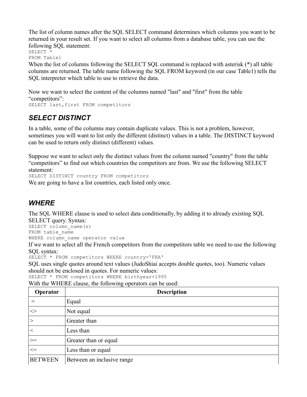The list of column names after the SQL SELECT command determines which columns you want to be returned in your result set. If you want to select all columns from a database table, you can use the following SQL statement:

SELECT \*

FROM Table1

When the list of columns following the SELECT SQL command is replaced with asterisk (\*) all table columns are returned. The table name following the SQL FROM keyword (in our case Table1) tells the SQL interpreter which table to use to retrieve the data.

Now we want to select the content of the columns named "last" and "first" from the table "competitors": SELECT last, first FROM competitors

### *SELECT DISTINCT*

In a table, some of the columns may contain duplicate values. This is not a problem, however, sometimes you will want to list only the different (distinct) values in a table. The DISTINCT keyword can be used to return only distinct (different) values.

Suppose we want to select only the distinct values from the column named "country" from the table "competitors" to find out which countries the competitors are from. We use the following SELECT statement:

SELECT DISTINCT country FROM competitors

We are going to have a list countries, each listed only once.

### *WHERE*

The SQL WHERE clause is used to select data conditionally, by adding it to already existing SQL

SELECT query. Syntax: SELECT column name(s) FROM table name

WHERE column name operator value

If we want to select all the French competitors from the competitors table we need to use the following SQL syntax:

SELECT \* FROM competitors WHERE country='FRA'

SQL uses single quotes around text values (JudoShiai accepts double quotes, too). Numeric values should not be enclosed in quotes. For numeric values:

SELECT \* FROM competitors WHERE birthyear=1995

With the WHERE clause, the following operators can be used:

| Operator          | <b>Description</b>         |
|-------------------|----------------------------|
|                   | Equal                      |
| $\Leftrightarrow$ | Not equal                  |
| $\vert$ $>$       | Greater than               |
| $\,<$             | Less than                  |
| >=                | Greater than or equal      |
| $\leq$            | Less than or equal         |
| <b>BETWEEN</b>    | Between an inclusive range |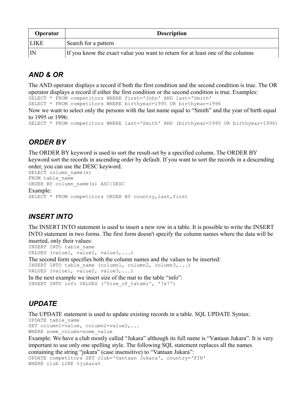| <b>Operator</b> | <b>Description</b>                                                             |
|-----------------|--------------------------------------------------------------------------------|
| <b>LIKE</b>     | Search for a pattern                                                           |
| $\mathsf{IN}$   | If you know the exact value you want to return for at least one of the columns |

### *AND & OR*

The AND operator displays a record if both the first condition and the second condition is true. The OR operator displays a record if either the first condition or the second condition is true. Examples:

SELECT \* FROM competitors WHERE first='John' AND last='Smith'

SELECT \* FROM competitors WHERE birthyear=1995 OR birthyear=1996

Now we want to select only the persons with the last name equal to "Smith" and the year of birth equal to 1995 or 1996:

SELECT \* FROM competitors WHERE last='Smith' AND (birthyear=1995 OR birthyear=1996)

### *ORDER BY*

The ORDER BY keyword is used to sort the result-set by a specified column. The ORDER BY keyword sort the records in ascending order by default. If you want to sort the records in a descending order, you can use the DESC keyword.

```
SELECT column name(s)
FROM table name
ORDER BY column_name(s) ASC|DESC
Example:
SELECT * FROM competitors ORDER BY country, last, first
```
### *INSERT INTO*

The INSERT INTO statement is used to insert a new row in a table. It is possible to write the INSERT INTO statement in two forms. The first form doesn't specify the column names where the data will be inserted, only their values:

INSERT INTO table\_name VALUES (value1, value2, value3,...)

The second form specifies both the column names and the values to be inserted: INSERT INTO table name (column1, column2, column3,...) VALUES (value1, value2, value3,...)

```
In the next example we insert size of the mat to the table "info":
INSERT INTO info VALUES ('Size_of_tatami', '7x7')
```
### *UPDATE*

The UPDATE statement is used to update existing records in a table. SQL UPDATE Syntax:

UPDATE table\_name SET column1=value, column2=value2,... WHERE some column=some value

Example: We have a club mostly called "Jukara" although its full name is "Vantaan Jukara". It is very important to use only one spelling style. The following SQL statement replaces all the names containing the string "jukara" (case insensitive) to "Vantaan Jukara":

```
UPDATE competitors SET club='Vantaan Jukara', country='FIN' 
WHERE club LIKE %jukara%
```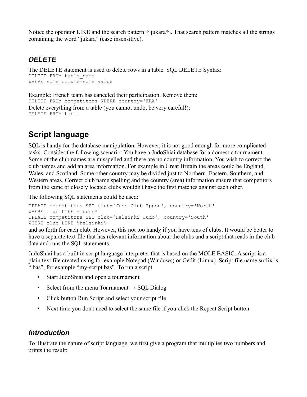Notice the operator LIKE and the search pattern %jukara%. That search pattern matches all the strings containing the word "jukara" (case insensitive).

### *DELETE*

The DELETE statement is used to delete rows in a table. SQL DELETE Syntax: DELETE FROM table name WHERE some column=some value

Example: French team has canceled their participation. Remove them: DELETE FROM competitors WHERE country='FRA' Delete everything from a table (you cannot undo, be very careful!): DELETE FROM table

## **Script language**

SQL is handy for the database manipulation. However, it is not good enough for more complicated tasks. Consider the following scenario: You have a JudoShiai database for a domestic tournament. Some of the club names are misspelled and there are no country information. You wish to correct the club names and add an area information. For example in Great Britain the areas could be England, Wales, and Scotland. Some other country may be divided just to Northern, Eastern, Southern, and Western areas. Correct club name spelling and the country (area) information ensure that competitors from the same or closely located clubs wouldn't have the first matches against each other.

The following SQL statements could be used:

```
UPDATE competitors SET club='Judo Club Ippon', country='North' 
WHERE club LIKE %ippon%
UPDATE competitors SET club='Helsinki Judo', country='South' 
WHERE club LIKE %helsinki%
```
and so forth for each club. However, this not too handy if you have tens of clubs. It would be better to have a separate text file that has relevant information about the clubs and a script that reads in the club data and runs the SQL statements.

JudoShiai has a built in script language interpreter that is based on the MOLE BASIC. A script is a plain text file created using for example Notepad (Windows) or Gedit (Linux). Script file name suffix is ".bas", for example "my-script.bas". To run a script

- Start JudoShiai and open a tournament
- Select from the menu Tournament  $\rightarrow$  SQL Dialog
- Click button Run Script and select your script file
- Next time you don't need to select the same file if you click the Repeat Script button

### *Introduction*

To illustrate the nature of script language, we first give a program that multiplies two numbers and prints the result: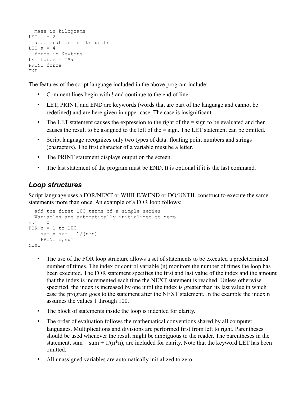```
! mass in kilograms
LET m = 2! acceleration in mks units
LET a = 4! force in Newtons
LET force = m*aPRINT force
END
```
The features of the script language included in the above program include:

- Comment lines begin with ! and continue to the end of line.
- LET, PRINT, and END are keywords (words that are part of the language and cannot be redefined) and are here given in upper case. The case is insignificant.
- The LET statement causes the expression to the right of the = sign to be evaluated and then causes the result to be assigned to the left of the = sign. The LET statement can be omitted.
- Script language recognizes only two types of data: floating point numbers and strings (characters). The first character of a variable must be a letter.
- The PRINT statement displays output on the screen.
- The last statement of the program must be END. It is optional if it is the last command.

#### *Loop structures*

Script language uses a FOR/NEXT or WHILE/WEND or DO/UNTIL construct to execute the same statements more than once. An example of a FOR loop follows:

```
! add the first 100 terms of a simple series
! Variables are automatically initialized to zero
sum = 0FOR n = 1 to 100
   sum = sum + 1/(n*n) PRINT n,sum
NEXT
```
- The use of the FOR loop structure allows a set of statements to be executed a predetermined number of times. The index or control variable (n) monitors the number of times the loop has been executed. The FOR statement specifies the first and last value of the index and the amount that the index is incremented each time the NEXT statement is reached. Unless otherwise specified, the index is increased by one until the index is greater than its last value in which case the program goes to the statement after the NEXT statement. In the example the index n assumes the values 1 through 100.
- The block of statements inside the loop is indented for clarity.
- The order of evaluation follows the mathematical conventions shared by all computer languages. Multiplications and divisions are performed first from left to right. Parentheses should be used whenever the result might be ambiguous to the reader. The parentheses in the statement, sum = sum +  $1/(n*n)$ , are included for clarity. Note that the keyword LET has been omitted.
- All unassigned variables are automatically initialized to zero.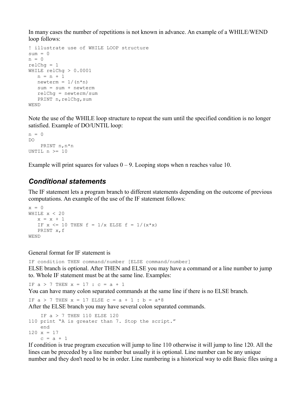In many cases the number of repetitions is not known in advance. An example of a WHILE/WEND loop follows:

```
! illustrate use of WHILE LOOP structure
sum = 0n = 0relCh\sigma = 1WHILE relChg > 0.0001
  n = n + 1newterm = 1/(n*n) sum = sum + newterm
   relChg = newterm/sum
  PRINT n, relChq, sum
WEND
```
Note the use of the WHILE loop structure to repeat the sum until the specified condition is no longer satisfied. Example of DO/UNTIL loop:

```
n = 0DO
     PRINT n,n*n
UNTIL n \geq 10
```
Example will print squares for values  $0 - 9$ . Looping stops when n reaches value 10.

#### *Conditional statements*

The IF statement lets a program branch to different statements depending on the outcome of previous computations. An example of the use of the IF statement follows:

```
x = 0WHILE x < 20x = x + 1IF x \le 10 THEN f = 1/x ELSE f = 1/(x*x) PRINT x,f
WEND
```
#### General format for IF statement is

IF condition THEN command/number [ELSE command/number] ELSE branch is optional. After THEN and ELSE you may have a command or a line number to jump to. Whole IF statement must be at the same line. Examples:

IF  $a > 7$  THEN  $x = 17$  :  $c = a + 1$ 

You can have many colon separated commands at the same line if there is no ELSE branch.

IF  $a > 7$  THEN  $x = 17$  ELSE  $c = a + 1$  :  $b = a*8$ 

After the ELSE branch you may have several colon separated commands.

```
 IF a > 7 THEN 110 ELSE 120
110 print "A is greater than 7. Stop the script."
    end
120 x = 17c = a + 1
```
If condition is true program execution will jump to line 110 otherwise it will jump to line 120. All the lines can be preceded by a line number but usually it is optional. Line number can be any unique number and they don't need to be in order. Line numbering is a historical way to edit Basic files using a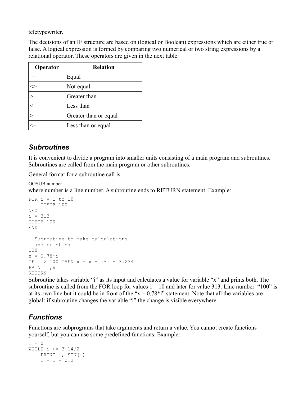teletypewriter.

The decisions of an IF structure are based on (logical or Boolean) expressions which are either true or false. A logical expression is formed by comparing two numerical or two string expressions by a relational operator. These operators are given in the next table:

| Operator | <b>Relation</b>       |
|----------|-----------------------|
|          | Equal                 |
|          | Not equal             |
|          | Greater than          |
|          | Less than             |
|          | Greater than or equal |
|          | Less than or equal    |

### *Subroutines*

It is convenient to divide a program into smaller units consisting of a main program and subroutines. Subroutines are called from the main program or other subroutines.

General format for a subroutine call is

GOSUB number where number is a line number. A subroutine ends to RETURN statement. Example:

```
FOR i = 1 to 10
    GOSUB 100
NEXT
i = 313GOSUB 100
END
! Subroutine to make calculations
! and printing
100
x = 0.78 * iIF i > 100 THEN x = x + i * i + 3.234PRINT i,x
RETURN
```
Subroutine takes variable "i" as its input and calculates a value for variable "x" and prints both. The subroutine is called from the FOR loop for values  $1 - 10$  and later for value 313. Line number "100" is at its own line but it could be in front of the " $x = 0.78*$ i" statement. Note that all the variables are global: if subroutine changes the variable "i" the change is visible everywhere.

### *Functions*

Functions are subprograms that take arguments and return a value. You cannot create functions yourself, but you can use some predefined functions. Example:

```
i = 0WHILE i \leq 3.14/2 PRINT i, SIN(i)
   i = i + 0.2
```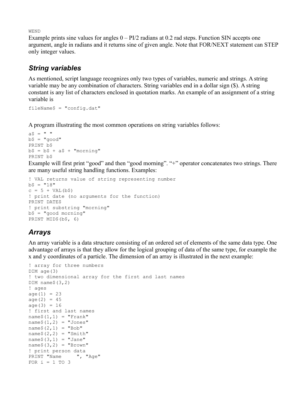WEND

Example prints sine values for angles  $0 - PI/2$  radians at 0.2 rad steps. Function SIN accepts one argument, angle in radians and it returns sine of given angle. Note that FOR/NEXT statement can STEP only integer values.

### *String variables*

As mentioned, script language recognizes only two types of variables, numeric and strings. A string variable may be any combination of characters. String variables end in a dollar sign (\$). A string constant is any list of characters enclosed in quotation marks. An example of an assignment of a string variable is

 $fileName$ = "config.dat"$ 

A program illustrating the most common operations on string variables follows:

```
aS = " "b$ = "good"
PRINT b$
b$ = b$ + a$ + "morning"
PRINT b$
```
Example will first print "good" and then "good morning". "+" operator concatenates two strings. There are many useful string handling functions. Examples:

```
! VAL returns value of string representing number 
b$ = "18"
c = 5 + \text{VAL} (b\hat{s})! print date (no arguments for the function)
PRINT DATE$
! print substring "morning" 
b$ = "good morning"
PRINT MID$(b$, 6)
```
### *Arrays*

An array variable is a data structure consisting of an ordered set of elements of the same data type. One advantage of arrays is that they allow for the logical grouping of data of the same type, for example the x and y coordinates of a particle. The dimension of an array is illustrated in the next example:

```
! array for three numbers
DIM age(3) 
! two dimensional array for the first and last names
DIM name$(3,2)! ages
age(1) = 23age(2) = 45age(3) = 16! first and last names
name$(1,1) = "Frank"
name$(1,2) = "Jones"name (2, 1) = "Bob"name(2,2) = "Smith"name (3, 1) = "Jane"name$(3, 2) = "Brown"
! print person data
PRINT "Name ", "Age"
FOR i = 1 TO 3
```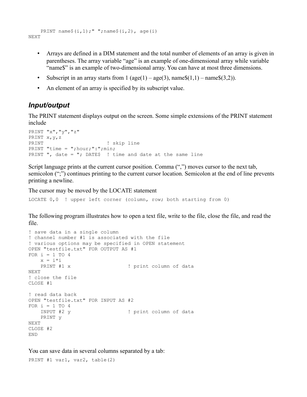```
PRINT name$(i,1);" ";name$(i,2), age(i)NEXT
```
- Arrays are defined in a DIM statement and the total number of elements of an array is given in parentheses. The array variable "age" is an example of one-dimensional array while variable "name\$" is an example of two-dimensional array. You can have at most three dimensions.
- Subscript in an array starts from  $1$  (age(1) age(3), name\$(1,1) name\$(3,2)).
- An element of an array is specified by its subscript value.

### *Input/output*

The PRINT statement displays output on the screen. Some simple extensions of the PRINT statement include

```
PRINT "x","y","z"
PRINT x,y,z
PRINT ! skip line
PRINT "time = "; hour; ": "; min;
PRINT ", date = "; DATE$ ! time and date at the same line
```
Script language prints at the current cursor position. Comma (",") moves cursor to the next tab, semicolon (";") continues printing to the current cursor location. Semicolon at the end of line prevents printing a newline.

The cursor may be moved by the LOCATE statement

LOCATE 0,0 ! upper left corner (column, row; both starting from 0)

The following program illustrates how to open a text file, write to the file, close the file, and read the file.

```
! save data in a single column
! channel number #1 is associated with the file
! various options may be specified in OPEN statement
OPEN "testfile.txt" FOR OUTPUT AS #1
FOR i = 1 TO 4
   x = i * iPRINT #1 x \qquad \qquad ! print column of data
NEXT
! close the file
CLOSE #1
! read data back
OPEN "testfile.txt" FOR INPUT AS #2
FOR i = 1 TO 4<br>INPUT #2 y
                                 ! print column of data
     PRINT y
NEXT
CLOSE #2
END
```
You can save data in several columns separated by a tab:

PRINT #1 var1, var2, table(2)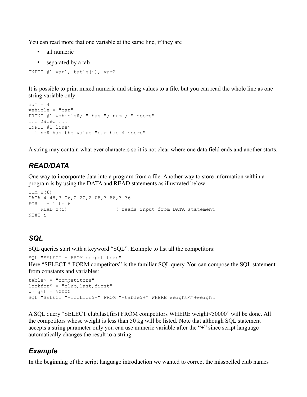You can read more that one variable at the same line, if they are

- all numeric
- separated by a tab

```
INPUT #1 var1, table(i), var2
```
It is possible to print mixed numeric and string values to a file, but you can read the whole line as one string variable only:

```
num = 4vehicle = "car"
PRINT #1 vehicle$; " has "; num ; " doors"
... later ...
INPUT #1 line$
! line$ has the value "car has 4 doors"
```
A string may contain what ever characters so it is not clear where one data field ends and another starts.

### *READ/DATA*

One way to incorporate data into a program from a file. Another way to store information within a program is by using the DATA and READ statements as illustrated below:

```
DIM \times (6)DATA 4.48,3.06,0.20,2.08,3.88,3.36
FOR i = 1 to 6
   READ x(i) \qquad ! reads input from DATA statement
NEXT i
```
### *SQL*

SQL queries start with a keyword "SQL". Example to list all the competitors:

```
SQL "SELECT * FROM competitors"
```
Here "SELECT \* FORM competitors" is the familiar SQL query. You can compose the SQL statement from constants and variables:

```
table$ = "competitors"
lookfor$ = "club,last,first"
weight = 50000SQL "SELECT "+lookfor$+" FROM "+table$+" WHERE weight<"+weight
```
A SQL query "SELECT club,last,first FROM competitors WHERE weight<50000" will be done. All the competitors whose weight is less than 50 kg will be listed. Note that although SQL statement accepts a string parameter only you can use numeric variable after the "+" since script language automatically changes the result to a string.

### *Example*

In the beginning of the script language introduction we wanted to correct the misspelled club names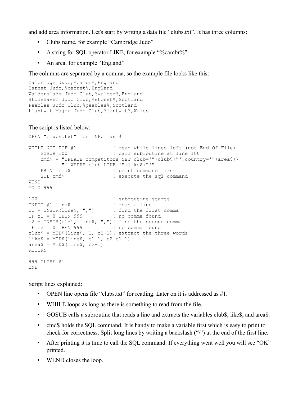and add area information. Let's start by writing a data file "clubs.txt". It has three columns:

- Clubs name, for example "Cambridge Judo"
- A string for SQL operator LIKE, for example "%cambr%"
- An area, for example "England"

The columns are separated by a comma, so the example file looks like this:

```
Cambridge Judo, %cambr%, England
Barnet Judo,%barnet%,England
Walderslade Judo Club,%walder%,England
Stonehaven Judo Club, %stoneh%, Scotland
Peebles Judo Club, &peebles&, Scotland
Llantwit Major Judo Club,%lantwit%,Wales
```
#### The script is listed below:

```
OPEN "clubs.txt" for INPUT as #1
WHILE NOT EOF #1 \qquad ! read while lines left (not End Of File)
  GOSUB 100 \qquad ! call subroutine at line 100
   cmd$ = "UPDATE competitors SET club='"+club$+"', country='"+area$+\
         "' WHERE club LIKE '"+like$+"'"
   PRINT cmd$ ! print command first
   SQL cmd$ ! execute the sql command
WEND
GOTO 999
100 ! subroutine starts
INPUT #1 line$ ! read a line
c1 = \text{INSTR}(\text{line}\, ", ") ! find the first comma
IF c1 = 0 THEN 999 ! no comma found
c2 = INSTR(c1+1, line, ","!)! find the second comma
IF c2 = 0 THEN 999 ! no comma found
club$ = MID$(line$, 1, c1-1)! extract the three words
like$ = MID$ (line$, cl+1, c2-c1-1)area$ = MID$ (line$, c2+1)
RETURN
999 CLOSE #1
END
```
Script lines explained:

- OPEN line opens file "clubs.txt" for reading. Later on it is addressed as #1.
- WHILE loops as long as there is something to read from the file.
- GOSUB calls a subroutine that reads a line and extracts the variables club\$, like\$, and area\$.
- cmd\$ holds the SQL command. It is handy to make a variable first which is easy to print to check for correctness. Split long lines by writing a backslash ("\") at the end of the first line.
- After printing it is time to call the SQL command. If everything went well you will see "OK" printed.
- WEND closes the loop.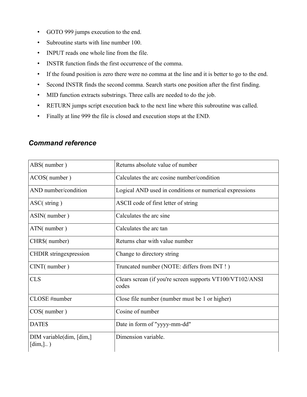- GOTO 999 jumps execution to the end.
- Subroutine starts with line number 100.
- INPUT reads one whole line from the file.
- INSTR function finds the first occurrence of the comma.
- If the found position is zero there were no comma at the line and it is better to go to the end.
- Second INSTR finds the second comma. Search starts one position after the first finding.
- MID function extracts substrings. Three calls are needed to do the job.
- RETURN jumps script execution back to the next line where this subroutine was called.
- Finally at line 999 the file is closed and execution stops at the END.

| ABS(number)                                  | Returns absolute value of number                                   |
|----------------------------------------------|--------------------------------------------------------------------|
| ACOS(number)                                 | Calculates the arc cosine number/condition                         |
| AND number/condition                         | Logical AND used in conditions or numerical expressions            |
| $\text{ASC}(\text{string})$                  | ASCII code of first letter of string                               |
| ASIN(number)                                 | Calculates the arc sine                                            |
| ATN(number)                                  | Calculates the arc tan                                             |
| CHR\$(number)                                | Returns char with value number                                     |
| <b>CHDIR</b> stringexpression                | Change to directory string                                         |
| CINT(number)                                 | Truncated number (NOTE: differs from INT!)                         |
| <b>CLS</b>                                   | Clears screan (if you're screen supports VT100/VT102/ANSI<br>codes |
| CLOSE #number                                | Close file number (number must be 1 or higher)                     |
| $COS$ (number)                               | Cosine of number                                                   |
| DATE\$                                       | Date in form of "yyyy-mm-dd"                                       |
| DIM variable(dim, [dim,]<br>$[\dim, ]\dots)$ | Dimension variable.                                                |

### *Command reference*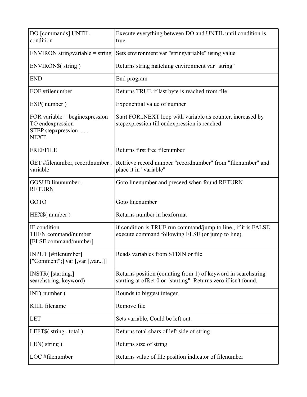| DO [commands] UNTIL<br>condition                                                 | Execute everything between DO and UNTIL until condition is<br>true.                                                                |
|----------------------------------------------------------------------------------|------------------------------------------------------------------------------------------------------------------------------------|
| $ENVIRON$ string variable = string                                               | Sets environment var "stringvariable" using value                                                                                  |
| ENVIRON\$(string)                                                                | Returns string matching environment var "string"                                                                                   |
| <b>END</b>                                                                       | End program                                                                                                                        |
| EOF #filenumber                                                                  | Returns TRUE if last byte is reached from file                                                                                     |
| EXP(number)                                                                      | Exponential value of number                                                                                                        |
| FOR variable = beginexpression<br>TO endexpression<br>STEP stepxpression<br>NEXT | Start FOR. NEXT loop with variable as counter, increased by<br>stepexpression till endexpression is reached                        |
| <b>FREEFILE</b>                                                                  | Returns first free filenumber                                                                                                      |
| GET #filenumber, recordnumber,<br>variable                                       | Retrieve record number "recordnumber" from "filenumber" and<br>place it in "variable"                                              |
| GOSUB linunumber<br><b>RETURN</b>                                                | Goto linenumber and preceed when found RETURN                                                                                      |
| GOTO                                                                             | Goto linenumber                                                                                                                    |
| HEX\$(number)                                                                    | Returns number in hexformat                                                                                                        |
| IF condition<br>THEN command/number<br>[ELSE command/number]                     | if condition is TRUE run command/jump to line, if it is FALSE<br>execute command following ELSE (or jump to line).                 |
| INPUT [#filenumber]<br>["Comment";] var [,var [,var]]                            | Reads variables from STDIN or file                                                                                                 |
| <b>INSTR</b> ([starting,]<br>searchstring, keyword)                              | Returns position (counting from 1) of keyword in search string<br>starting at offset 0 or "starting". Returns zero if isn't found. |
| INT(number)                                                                      | Rounds to biggest integer.                                                                                                         |
| <b>KILL</b> filename                                                             | Remove file                                                                                                                        |
| LET                                                                              | Sets variable. Could be left out.                                                                                                  |
| LEFT $$(string, total)$                                                          | Returns total chars of left side of string                                                                                         |
| $LEN$ (string)                                                                   | Returns size of string                                                                                                             |
| LOC #filenumber                                                                  | Returns value of file position indicator of filenumber                                                                             |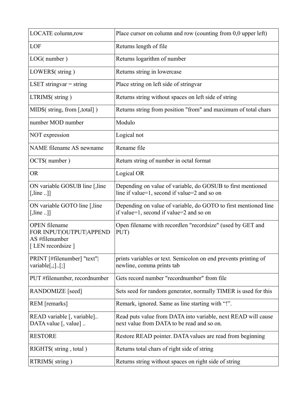| LOCATE column,row                                                                     | Place cursor on column and row (counting from $0,0$ upper left)                                             |
|---------------------------------------------------------------------------------------|-------------------------------------------------------------------------------------------------------------|
| LOF                                                                                   | Returns length of file                                                                                      |
| LOG(number)                                                                           | Returns logarithm of number                                                                                 |
| LOWER\$(string)                                                                       | Returns string in lowercase                                                                                 |
| LSET stringvar $=$ string                                                             | Place string on left side of stringvar                                                                      |
| LTRIM\$(string)                                                                       | Returns string without spaces on left side of string                                                        |
| MID\$(string, from [,total])                                                          | Returns string from position "from" and maximum of total chars                                              |
| number MOD number                                                                     | Modulo                                                                                                      |
| NOT expression                                                                        | Logical not                                                                                                 |
| NAME filename AS newname                                                              | Rename file                                                                                                 |
| OCT\$(number)                                                                         | Return string of number in octal format                                                                     |
| <b>OR</b>                                                                             | Logical OR                                                                                                  |
| ON variable GOSUB line [, line<br>$[$ , line ]]                                       | Depending on value of variable, do GOSUB to first mentioned<br>line if value=1, second if value=2 and so on |
| ON variable GOTO line [, line<br>$[$ , line ]]                                        | Depending on value of variable, do GOTO to first mentioned line<br>if value=1, second if value=2 and so on  |
| <b>OPEN</b> filename<br>FOR INPUT OUTPUT APPEND<br>AS #filenumber<br>[LEN recordsize] | Open filename with recordlen "recordsize" (used by GET and<br>PUT)                                          |
| PRINT [#filenumber] "text"]<br>variable $[,$ ; $].$ [; ]                              | prints variables or text. Semicolon on end prevents printing of<br>newline, comma prints tab                |
| PUT #filenumber, recordnumber                                                         | Gets record number "recordnumber" from file                                                                 |
| RANDOMIZE [seed]                                                                      | Sets seed for random generator, normally TIMER is used for this                                             |
| REM [remarks]                                                                         | Remark, ignored. Same as line starting with "!".                                                            |
| READ variable [, variable]<br>DATA value [, value]                                    | Read puts value from DATA into variable, next READ will cause<br>next value from DATA to be read and so on. |
| <b>RESTORE</b>                                                                        | Restore READ pointer. DATA values are read from beginning                                                   |
| RIGHT\$(string, total)                                                                | Returns total chars of right side of string                                                                 |
| RTRIM\$(string)                                                                       | Returns string without spaces on right side of string                                                       |